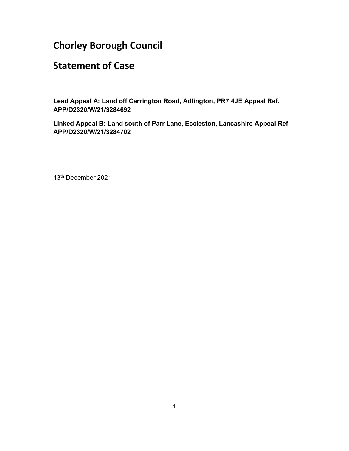# Chorley Borough Council

# Statement of Case

Lead Appeal A: Land off Carrington Road, Adlington, PR7 4JE Appeal Ref. APP/D2320/W/21/3284692

Linked Appeal B: Land south of Parr Lane, Eccleston, Lancashire Appeal Ref. APP/D2320/W/21/3284702

13th December 2021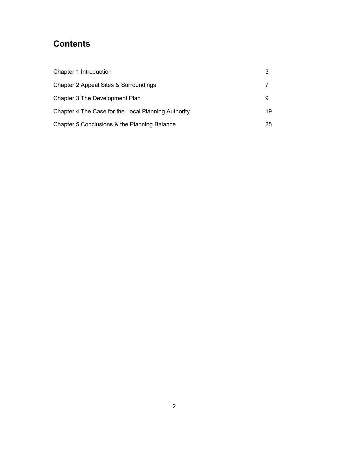# **Contents**

| Chapter 1 Introduction                              |    |
|-----------------------------------------------------|----|
| Chapter 2 Appeal Sites & Surroundings               |    |
| Chapter 3 The Development Plan                      | 9  |
| Chapter 4 The Case for the Local Planning Authority | 19 |
| Chapter 5 Conclusions & the Planning Balance        | 25 |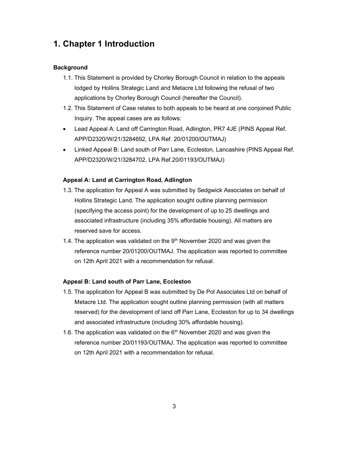# 1. Chapter 1 Introduction

# **Background**

- 1.1. This Statement is provided by Chorley Borough Council in relation to the appeals lodged by Hollins Strategic Land and Metacre Ltd following the refusal of two applications by Chorley Borough Council (hereafter the Council).
- 1.2. This Statement of Case relates to both appeals to be heard at one conjoined Public Inquiry. The appeal cases are as follows:
- Lead Appeal A: Land off Carrington Road, Adlington, PR7 4JE (PINS Appeal Ref. APP/D2320/W/21/3284692, LPA Ref. 20/01200/OUTMAJ)
- Linked Appeal B: Land south of Parr Lane, Eccleston, Lancashire (PINS Appeal Ref. APP/D2320/W/21/3284702, LPA Ref.20/01193/OUTMAJ)

### Appeal A: Land at Carrington Road, Adlington

- 1.3. The application for Appeal A was submitted by Sedgwick Associates on behalf of Hollins Strategic Land. The application sought outline planning permission (specifying the access point) for the development of up to 25 dwellings and associated infrastructure (including 35% affordable housing). All matters are reserved save for access.
- 1.4. The application was validated on the  $9<sup>th</sup>$  November 2020 and was given the reference number 20/01200/OUTMAJ. The application was reported to committee on 12th April 2021 with a recommendation for refusal.

## Appeal B: Land south of Parr Lane, Eccleston

- 1.5. The application for Appeal B was submitted by De Pol Associates Ltd on behalf of Metacre Ltd. The application sought outline planning permission (with all matters reserved) for the development of land off Parr Lane, Eccleston for up to 34 dwellings and associated infrastructure (including 30% affordable housing).
- 1.6. The application was validated on the  $6<sup>th</sup>$  November 2020 and was given the reference number 20/01193/OUTMAJ. The application was reported to committee on 12th April 2021 with a recommendation for refusal.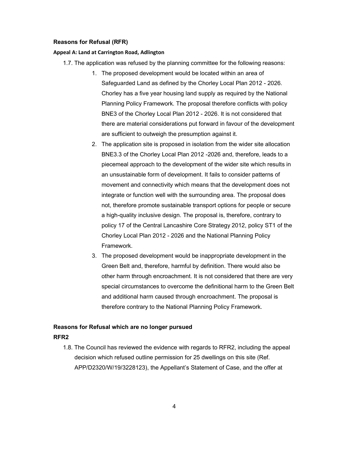#### Reasons for Refusal (RFR)

#### Appeal A: Land at Carrington Road, Adlington

- 1.7. The application was refused by the planning committee for the following reasons:
	- 1. The proposed development would be located within an area of Safeguarded Land as defined by the Chorley Local Plan 2012 - 2026. Chorley has a five year housing land supply as required by the National Planning Policy Framework. The proposal therefore conflicts with policy BNE3 of the Chorley Local Plan 2012 - 2026. It is not considered that there are material considerations put forward in favour of the development are sufficient to outweigh the presumption against it.
	- 2. The application site is proposed in isolation from the wider site allocation BNE3.3 of the Chorley Local Plan 2012 -2026 and, therefore, leads to a piecemeal approach to the development of the wider site which results in an unsustainable form of development. It fails to consider patterns of movement and connectivity which means that the development does not integrate or function well with the surrounding area. The proposal does not, therefore promote sustainable transport options for people or secure a high-quality inclusive design. The proposal is, therefore, contrary to policy 17 of the Central Lancashire Core Strategy 2012, policy ST1 of the Chorley Local Plan 2012 - 2026 and the National Planning Policy Framework.
	- 3. The proposed development would be inappropriate development in the Green Belt and, therefore, harmful by definition. There would also be other harm through encroachment. It is not considered that there are very special circumstances to overcome the definitional harm to the Green Belt and additional harm caused through encroachment. The proposal is therefore contrary to the National Planning Policy Framework.

# Reasons for Refusal which are no longer pursued RFR2

1.8. The Council has reviewed the evidence with regards to RFR2, including the appeal decision which refused outline permission for 25 dwellings on this site (Ref. APP/D2320/W/19/3228123), the Appellant's Statement of Case, and the offer at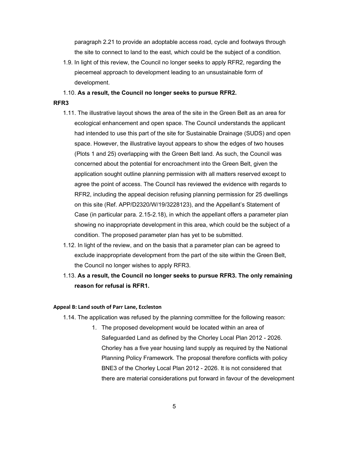paragraph 2.21 to provide an adoptable access road, cycle and footways through the site to connect to land to the east, which could be the subject of a condition.

- 1.9. In light of this review, the Council no longer seeks to apply RFR2, regarding the piecemeal approach to development leading to an unsustainable form of development.
- 1.10. As a result, the Council no longer seeks to pursue RFR2.

# RFR3

- 1.11. The illustrative layout shows the area of the site in the Green Belt as an area for ecological enhancement and open space. The Council understands the applicant had intended to use this part of the site for Sustainable Drainage (SUDS) and open space. However, the illustrative layout appears to show the edges of two houses (Plots 1 and 25) overlapping with the Green Belt land. As such, the Council was concerned about the potential for encroachment into the Green Belt, given the application sought outline planning permission with all matters reserved except to agree the point of access. The Council has reviewed the evidence with regards to RFR2, including the appeal decision refusing planning permission for 25 dwellings on this site (Ref. APP/D2320/W/19/3228123), and the Appellant's Statement of Case (in particular para. 2.15-2.18), in which the appellant offers a parameter plan showing no inappropriate development in this area, which could be the subject of a condition. The proposed parameter plan has yet to be submitted.
- 1.12. In light of the review, and on the basis that a parameter plan can be agreed to exclude inappropriate development from the part of the site within the Green Belt, the Council no longer wishes to apply RFR3.
- 1.13. As a result, the Council no longer seeks to pursue RFR3. The only remaining reason for refusal is RFR1.

#### Appeal B: Land south of Parr Lane, Eccleston

- 1.14. The application was refused by the planning committee for the following reason:
	- 1. The proposed development would be located within an area of Safeguarded Land as defined by the Chorley Local Plan 2012 - 2026. Chorley has a five year housing land supply as required by the National Planning Policy Framework. The proposal therefore conflicts with policy BNE3 of the Chorley Local Plan 2012 - 2026. It is not considered that there are material considerations put forward in favour of the development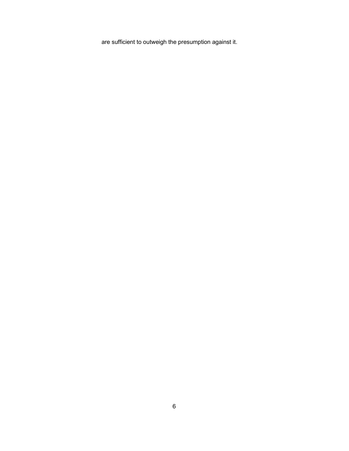are sufficient to outweigh the presumption against it.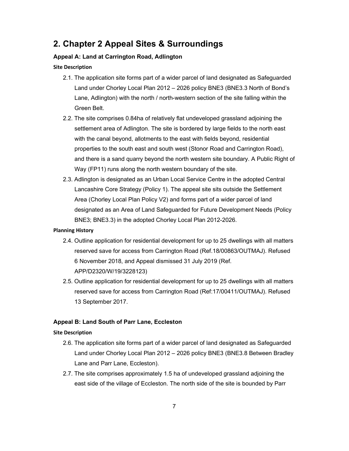# 2. Chapter 2 Appeal Sites & Surroundings

# Appeal A: Land at Carrington Road, Adlington

#### Site Description

- 2.1. The application site forms part of a wider parcel of land designated as Safeguarded Land under Chorley Local Plan 2012 – 2026 policy BNE3 (BNE3.3 North of Bond's Lane, Adlington) with the north / north-western section of the site falling within the Green Belt.
- 2.2. The site comprises 0.84ha of relatively flat undeveloped grassland adjoining the settlement area of Adlington. The site is bordered by large fields to the north east with the canal beyond, allotments to the east with fields beyond, residential properties to the south east and south west (Stonor Road and Carrington Road), and there is a sand quarry beyond the north western site boundary. A Public Right of Way (FP11) runs along the north western boundary of the site.
- 2.3. Adlington is designated as an Urban Local Service Centre in the adopted Central Lancashire Core Strategy (Policy 1). The appeal site sits outside the Settlement Area (Chorley Local Plan Policy V2) and forms part of a wider parcel of land designated as an Area of Land Safeguarded for Future Development Needs (Policy BNE3; BNE3.3) in the adopted Chorley Local Plan 2012-2026.

#### Planning History

- 2.4. Outline application for residential development for up to 25 dwellings with all matters reserved save for access from Carrington Road (Ref.18/00863/OUTMAJ). Refused 6 November 2018, and Appeal dismissed 31 July 2019 (Ref. APP/D2320/W/19/3228123)
- 2.5. Outline application for residential development for up to 25 dwellings with all matters reserved save for access from Carrington Road (Ref:17/00411/OUTMAJ). Refused 13 September 2017.

### Appeal B: Land South of Parr Lane, Eccleston

### Site Description

- 2.6. The application site forms part of a wider parcel of land designated as Safeguarded Land under Chorley Local Plan 2012 – 2026 policy BNE3 (BNE3.8 Between Bradley Lane and Parr Lane, Eccleston).
- 2.7. The site comprises approximately 1.5 ha of undeveloped grassland adjoining the east side of the village of Eccleston. The north side of the site is bounded by Parr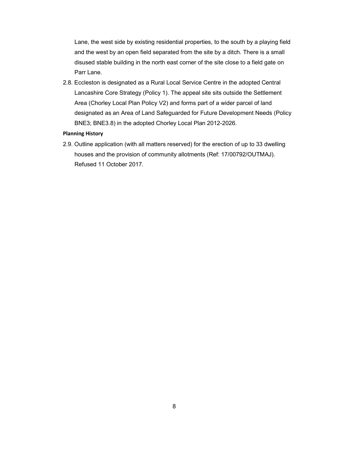Lane, the west side by existing residential properties, to the south by a playing field and the west by an open field separated from the site by a ditch. There is a small disused stable building in the north east corner of the site close to a field gate on Parr Lane.

2.8. Eccleston is designated as a Rural Local Service Centre in the adopted Central Lancashire Core Strategy (Policy 1). The appeal site sits outside the Settlement Area (Chorley Local Plan Policy V2) and forms part of a wider parcel of land designated as an Area of Land Safeguarded for Future Development Needs (Policy BNE3; BNE3.8) in the adopted Chorley Local Plan 2012-2026.

#### Planning History

2.9. Outline application (with all matters reserved) for the erection of up to 33 dwelling houses and the provision of community allotments (Ref: 17/00792/OUTMAJ). Refused 11 October 2017.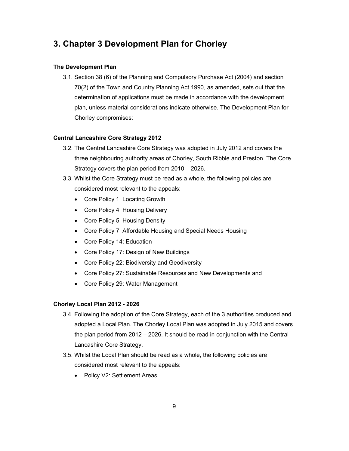# 3. Chapter 3 Development Plan for Chorley

## The Development Plan

3.1. Section 38 (6) of the Planning and Compulsory Purchase Act (2004) and section 70(2) of the Town and Country Planning Act 1990, as amended, sets out that the determination of applications must be made in accordance with the development plan, unless material considerations indicate otherwise. The Development Plan for Chorley compromises:

# Central Lancashire Core Strategy 2012

- 3.2. The Central Lancashire Core Strategy was adopted in July 2012 and covers the three neighbouring authority areas of Chorley, South Ribble and Preston. The Core Strategy covers the plan period from 2010 – 2026.
- 3.3. Whilst the Core Strategy must be read as a whole, the following policies are considered most relevant to the appeals:
	- Core Policy 1: Locating Growth
	- Core Policy 4: Housing Delivery
	- Core Policy 5: Housing Density
	- Core Policy 7: Affordable Housing and Special Needs Housing
	- Core Policy 14: Education
	- Core Policy 17: Design of New Buildings
	- Core Policy 22: Biodiversity and Geodiversity
	- Core Policy 27: Sustainable Resources and New Developments and
	- Core Policy 29: Water Management

## Chorley Local Plan 2012 - 2026

- 3.4. Following the adoption of the Core Strategy, each of the 3 authorities produced and adopted a Local Plan. The Chorley Local Plan was adopted in July 2015 and covers the plan period from 2012 – 2026. It should be read in conjunction with the Central Lancashire Core Strategy.
- 3.5. Whilst the Local Plan should be read as a whole, the following policies are considered most relevant to the appeals:
	- Policy V2: Settlement Areas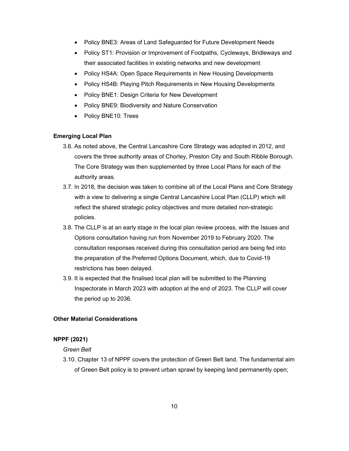- Policy BNE3: Areas of Land Safeguarded for Future Development Needs
- Policy ST1: Provision or Improvement of Footpaths, Cycleways, Bridleways and their associated facilities in existing networks and new development
- Policy HS4A: Open Space Requirements in New Housing Developments
- Policy HS4B: Playing Pitch Requirements in New Housing Developments
- Policy BNE1: Design Criteria for New Development
- Policy BNE9: Biodiversity and Nature Conservation
- Policy BNE10: Trees

#### Emerging Local Plan

- 3.6. As noted above, the Central Lancashire Core Strategy was adopted in 2012, and covers the three authority areas of Chorley, Preston City and South Ribble Borough. The Core Strategy was then supplemented by three Local Plans for each of the authority areas.
- 3.7. In 2018, the decision was taken to combine all of the Local Plans and Core Strategy with a view to delivering a single Central Lancashire Local Plan (CLLP) which will reflect the shared strategic policy objectives and more detailed non-strategic policies.
- 3.8. The CLLP is at an early stage in the local plan review process, with the Issues and Options consultation having run from November 2019 to February 2020. The consultation responses received during this consultation period are being fed into the preparation of the Preferred Options Document, which, due to Covid-19 restrictions has been delayed.
- 3.9. It is expected that the finalised local plan will be submitted to the Planning Inspectorate in March 2023 with adoption at the end of 2023. The CLLP will cover the period up to 2036.

# Other Material Considerations

## NPPF (2021)

#### Green Belt

3.10. Chapter 13 of NPPF covers the protection of Green Belt land. The fundamental aim of Green Belt policy is to prevent urban sprawl by keeping land permanently open;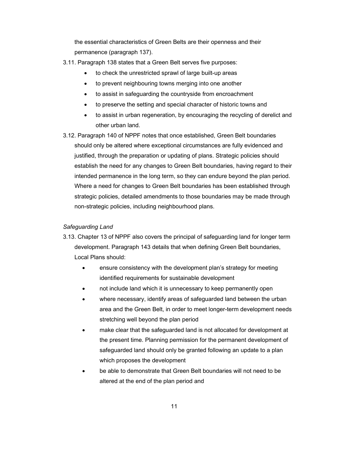the essential characteristics of Green Belts are their openness and their permanence (paragraph 137).

- 3.11. Paragraph 138 states that a Green Belt serves five purposes:
	- to check the unrestricted sprawl of large built-up areas
	- to prevent neighbouring towns merging into one another
	- to assist in safeguarding the countryside from encroachment
	- to preserve the setting and special character of historic towns and
	- to assist in urban regeneration, by encouraging the recycling of derelict and other urban land.
- 3.12. Paragraph 140 of NPPF notes that once established, Green Belt boundaries should only be altered where exceptional circumstances are fully evidenced and justified, through the preparation or updating of plans. Strategic policies should establish the need for any changes to Green Belt boundaries, having regard to their intended permanence in the long term, so they can endure beyond the plan period. Where a need for changes to Green Belt boundaries has been established through strategic policies, detailed amendments to those boundaries may be made through non-strategic policies, including neighbourhood plans.

### Safeguarding Land

- 3.13. Chapter 13 of NPPF also covers the principal of safeguarding land for longer term development. Paragraph 143 details that when defining Green Belt boundaries, Local Plans should:
	- ensure consistency with the development plan's strategy for meeting identified requirements for sustainable development
	- not include land which it is unnecessary to keep permanently open
	- where necessary, identify areas of safeguarded land between the urban area and the Green Belt, in order to meet longer-term development needs stretching well beyond the plan period
	- make clear that the safeguarded land is not allocated for development at the present time. Planning permission for the permanent development of safeguarded land should only be granted following an update to a plan which proposes the development
	- be able to demonstrate that Green Belt boundaries will not need to be altered at the end of the plan period and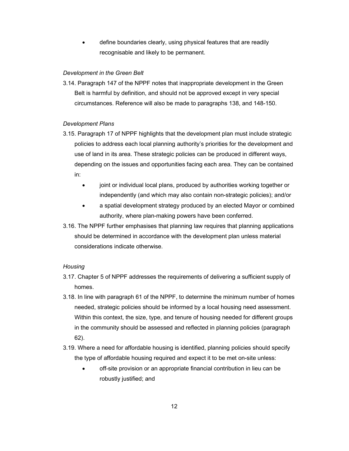define boundaries clearly, using physical features that are readily recognisable and likely to be permanent.

## Development in the Green Belt

3.14. Paragraph 147 of the NPPF notes that inappropriate development in the Green Belt is harmful by definition, and should not be approved except in very special circumstances. Reference will also be made to paragraphs 138, and 148-150.

# Development Plans

- 3.15. Paragraph 17 of NPPF highlights that the development plan must include strategic policies to address each local planning authority's priorities for the development and use of land in its area. These strategic policies can be produced in different ways, depending on the issues and opportunities facing each area. They can be contained in:
	- joint or individual local plans, produced by authorities working together or independently (and which may also contain non-strategic policies); and/or
	- a spatial development strategy produced by an elected Mayor or combined authority, where plan-making powers have been conferred.
- 3.16. The NPPF further emphasises that planning law requires that planning applications should be determined in accordance with the development plan unless material considerations indicate otherwise.

## **Housing**

- 3.17. Chapter 5 of NPPF addresses the requirements of delivering a sufficient supply of homes.
- 3.18. In line with paragraph 61 of the NPPF, to determine the minimum number of homes needed, strategic policies should be informed by a local housing need assessment. Within this context, the size, type, and tenure of housing needed for different groups in the community should be assessed and reflected in planning policies (paragraph 62).
- 3.19. Where a need for affordable housing is identified, planning policies should specify the type of affordable housing required and expect it to be met on-site unless:
	- off-site provision or an appropriate financial contribution in lieu can be robustly justified; and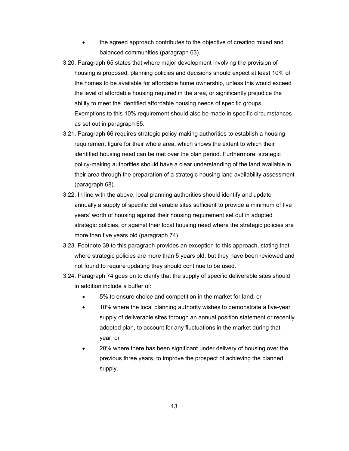- the agreed approach contributes to the objective of creating mixed and balanced communities (paragraph 63).
- 3.20. Paragraph 65 states that where major development involving the provision of housing is proposed, planning policies and decisions should expect at least 10% of the homes to be available for affordable home ownership, unless this would exceed the level of affordable housing required in the area, or significantly prejudice the ability to meet the identified affordable housing needs of specific groups. Exemptions to this 10% requirement should also be made in specific circumstances as set out in paragraph 65.
- 3.21. Paragraph 66 requires strategic policy-making authorities to establish a housing requirement figure for their whole area, which shows the extent to which their identified housing need can be met over the plan period. Furthermore, strategic policy-making authorities should have a clear understanding of the land available in their area through the preparation of a strategic housing land availability assessment (paragraph 68).
- 3.22. In line with the above, local planning authorities should identify and update annually a supply of specific deliverable sites sufficient to provide a minimum of five years' worth of housing against their housing requirement set out in adopted strategic policies, or against their local housing need where the strategic policies are more than five years old (paragraph 74).
- 3.23. Footnote 39 to this paragraph provides an exception to this approach, stating that where strategic policies are more than 5 years old, but they have been reviewed and not found to require updating they should continue to be used.
- 3.24. Paragraph 74 goes on to clarify that the supply of specific deliverable sites should in addition include a buffer of:
	- 5% to ensure choice and competition in the market for land; or
	- 10% where the local planning authority wishes to demonstrate a five-year supply of deliverable sites through an annual position statement or recently adopted plan, to account for any fluctuations in the market during that year; or
	- 20% where there has been significant under delivery of housing over the previous three years, to improve the prospect of achieving the planned supply.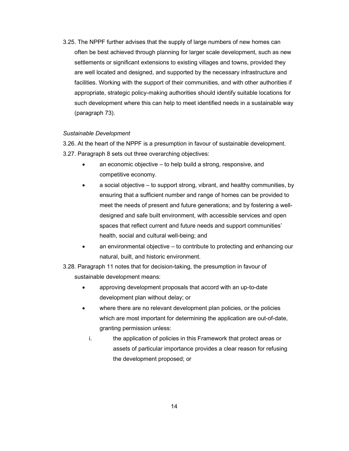3.25. The NPPF further advises that the supply of large numbers of new homes can often be best achieved through planning for larger scale development, such as new settlements or significant extensions to existing villages and towns, provided they are well located and designed, and supported by the necessary infrastructure and facilities. Working with the support of their communities, and with other authorities if appropriate, strategic policy-making authorities should identify suitable locations for such development where this can help to meet identified needs in a sustainable way (paragraph 73).

#### Sustainable Development

3.26. At the heart of the NPPF is a presumption in favour of sustainable development. 3.27. Paragraph 8 sets out three overarching objectives:

- an economic objective to help build a strong, responsive, and competitive economy.
- a social objective to support strong, vibrant, and healthy communities, by ensuring that a sufficient number and range of homes can be provided to meet the needs of present and future generations; and by fostering a welldesigned and safe built environment, with accessible services and open spaces that reflect current and future needs and support communities' health, social and cultural well-being; and
- an environmental objective to contribute to protecting and enhancing our natural, built, and historic environment.
- 3.28. Paragraph 11 notes that for decision-taking, the presumption in favour of sustainable development means:
	- approving development proposals that accord with an up-to-date development plan without delay; or
	- where there are no relevant development plan policies, or the policies which are most important for determining the application are out-of-date, granting permission unless:
		- i. the application of policies in this Framework that protect areas or assets of particular importance provides a clear reason for refusing the development proposed; or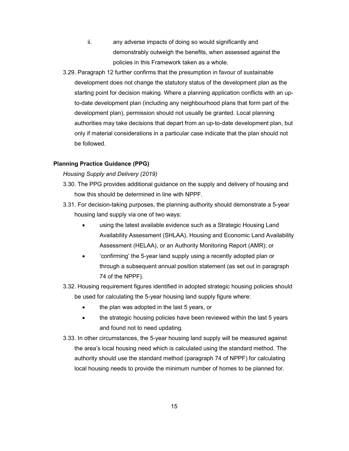- ii. any adverse impacts of doing so would significantly and demonstrably outweigh the benefits, when assessed against the policies in this Framework taken as a whole.
- 3.29. Paragraph 12 further confirms that the presumption in favour of sustainable development does not change the statutory status of the development plan as the starting point for decision making. Where a planning application conflicts with an upto-date development plan (including any neighbourhood plans that form part of the development plan), permission should not usually be granted. Local planning authorities may take decisions that depart from an up-to-date development plan, but only if material considerations in a particular case indicate that the plan should not be followed.

#### Planning Practice Guidance (PPG)

Housing Supply and Delivery (2019)

- 3.30. The PPG provides additional guidance on the supply and delivery of housing and how this should be determined in line with NPPF.
- 3.31. For decision-taking purposes, the planning authority should demonstrate a 5-year housing land supply via one of two ways:
	- using the latest available evidence such as a Strategic Housing Land Availability Assessment (SHLAA), Housing and Economic Land Availability Assessment (HELAA), or an Authority Monitoring Report (AMR); or
	- 'confirming' the 5-year land supply using a recently adopted plan or through a subsequent annual position statement (as set out in paragraph 74 of the NPPF).
- 3.32. Housing requirement figures identified in adopted strategic housing policies should be used for calculating the 5-year housing land supply figure where:
	- the plan was adopted in the last 5 years, or
	- the strategic housing policies have been reviewed within the last 5 years and found not to need updating.
- 3.33. In other circumstances, the 5-year housing land supply will be measured against the area's local housing need which is calculated using the standard method. The authority should use the standard method (paragraph 74 of NPPF) for calculating local housing needs to provide the minimum number of homes to be planned for.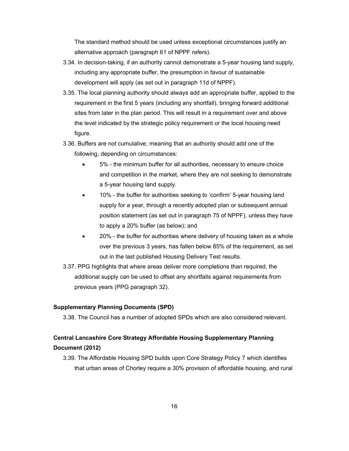The standard method should be used unless exceptional circumstances justify an alternative approach (paragraph 61 of NPPF refers).

- 3.34. In decision-taking, if an authority cannot demonstrate a 5-year housing land supply, including any appropriate buffer, the presumption in favour of sustainable development will apply (as set out in paragraph 11d of NPPF).
- 3.35. The local planning authority should always add an appropriate buffer, applied to the requirement in the first 5 years (including any shortfall), bringing forward additional sites from later in the plan period. This will result in a requirement over and above the level indicated by the strategic policy requirement or the local housing need figure.
- 3.36. Buffers are not cumulative, meaning that an authority should add one of the following, depending on circumstances:
	- 5% the minimum buffer for all authorities, necessary to ensure choice and competition in the market, where they are not seeking to demonstrate a 5-year housing land supply.
	- 10% the buffer for authorities seeking to 'confirm' 5-year housing land supply for a year, through a recently adopted plan or subsequent annual position statement (as set out in paragraph 75 of NPPF), unless they have to apply a 20% buffer (as below); and
	- 20% the buffer for authorities where delivery of housing taken as a whole over the previous 3 years, has fallen below 85% of the requirement, as set out in the last published Housing Delivery Test results.
- 3.37. PPG highlights that where areas deliver more completions than required, the additional supply can be used to offset any shortfalls against requirements from previous years (PPG paragraph 32).

### Supplementary Planning Documents (SPD)

3.38. The Council has a number of adopted SPDs which are also considered relevant.

# Central Lancashire Core Strategy Affordable Housing Supplementary Planning Document (2012)

3.39. The Affordable Housing SPD builds upon Core Strategy Policy 7 which identifies that urban areas of Chorley require a 30% provision of affordable housing, and rural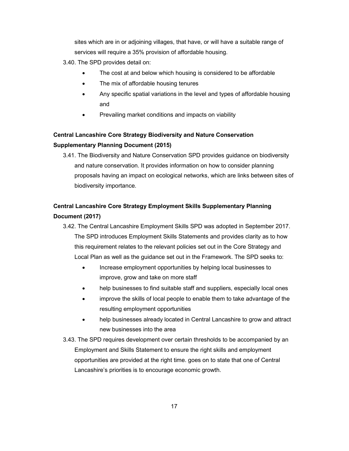sites which are in or adjoining villages, that have, or will have a suitable range of services will require a 35% provision of affordable housing.

3.40. The SPD provides detail on:

- The cost at and below which housing is considered to be affordable
- The mix of affordable housing tenures
- Any specific spatial variations in the level and types of affordable housing and
- Prevailing market conditions and impacts on viability

# Central Lancashire Core Strategy Biodiversity and Nature Conservation Supplementary Planning Document (2015)

3.41. The Biodiversity and Nature Conservation SPD provides guidance on biodiversity and nature conservation. It provides information on how to consider planning proposals having an impact on ecological networks, which are links between sites of biodiversity importance.

# Central Lancashire Core Strategy Employment Skills Supplementary Planning Document (2017)

- 3.42. The Central Lancashire Employment Skills SPD was adopted in September 2017. The SPD introduces Employment Skills Statements and provides clarity as to how this requirement relates to the relevant policies set out in the Core Strategy and Local Plan as well as the guidance set out in the Framework. The SPD seeks to:
	- Increase employment opportunities by helping local businesses to improve, grow and take on more staff
	- help businesses to find suitable staff and suppliers, especially local ones
	- improve the skills of local people to enable them to take advantage of the resulting employment opportunities
	- help businesses already located in Central Lancashire to grow and attract new businesses into the area
- 3.43. The SPD requires development over certain thresholds to be accompanied by an Employment and Skills Statement to ensure the right skills and employment opportunities are provided at the right time. goes on to state that one of Central Lancashire's priorities is to encourage economic growth.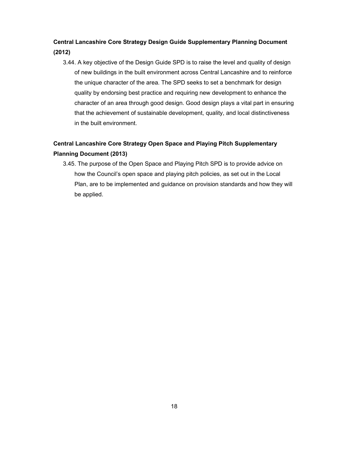# Central Lancashire Core Strategy Design Guide Supplementary Planning Document (2012)

3.44. A key objective of the Design Guide SPD is to raise the level and quality of design of new buildings in the built environment across Central Lancashire and to reinforce the unique character of the area. The SPD seeks to set a benchmark for design quality by endorsing best practice and requiring new development to enhance the character of an area through good design. Good design plays a vital part in ensuring that the achievement of sustainable development, quality, and local distinctiveness in the built environment.

# Central Lancashire Core Strategy Open Space and Playing Pitch Supplementary Planning Document (2013)

3.45. The purpose of the Open Space and Playing Pitch SPD is to provide advice on how the Council's open space and playing pitch policies, as set out in the Local Plan, are to be implemented and guidance on provision standards and how they will be applied.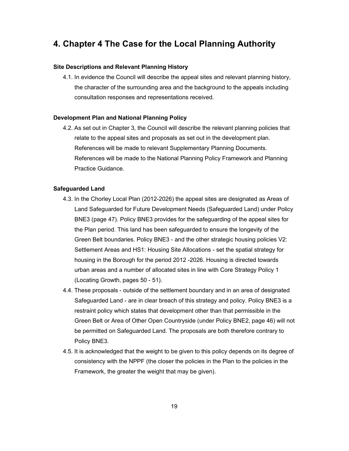# 4. Chapter 4 The Case for the Local Planning Authority

### Site Descriptions and Relevant Planning History

4.1. In evidence the Council will describe the appeal sites and relevant planning history, the character of the surrounding area and the background to the appeals including consultation responses and representations received.

#### Development Plan and National Planning Policy

4.2. As set out in Chapter 3, the Council will describe the relevant planning policies that relate to the appeal sites and proposals as set out in the development plan. References will be made to relevant Supplementary Planning Documents. References will be made to the National Planning Policy Framework and Planning Practice Guidance.

#### Safeguarded Land

- 4.3. In the Chorley Local Plan (2012-2026) the appeal sites are designated as Areas of Land Safeguarded for Future Development Needs (Safeguarded Land) under Policy BNE3 (page 47). Policy BNE3 provides for the safeguarding of the appeal sites for the Plan period. This land has been safeguarded to ensure the longevity of the Green Belt boundaries. Policy BNE3 - and the other strategic housing policies V2: Settlement Areas and HS1: Housing Site Allocations - set the spatial strategy for housing in the Borough for the period 2012 -2026. Housing is directed towards urban areas and a number of allocated sites in line with Core Strategy Policy 1 (Locating Growth, pages 50 - 51).
- 4.4. These proposals outside of the settlement boundary and in an area of designated Safeguarded Land - are in clear breach of this strategy and policy. Policy BNE3 is a restraint policy which states that development other than that permissible in the Green Belt or Area of Other Open Countryside (under Policy BNE2, page 46) will not be permitted on Safeguarded Land. The proposals are both therefore contrary to Policy BNE3.
- 4.5. It is acknowledged that the weight to be given to this policy depends on its degree of consistency with the NPPF (the closer the policies in the Plan to the policies in the Framework, the greater the weight that may be given).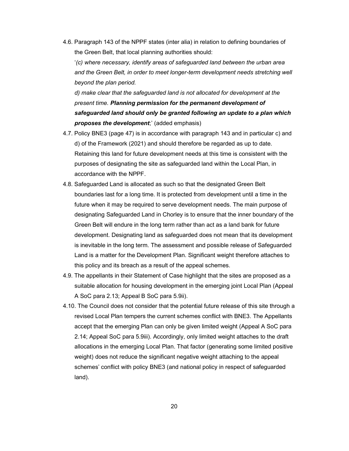4.6. Paragraph 143 of the NPPF states (inter alia) in relation to defining boundaries of the Green Belt, that local planning authorities should:

'(c) where necessary, identify areas of safeguarded land between the urban area and the Green Belt, in order to meet longer-term development needs stretching well beyond the plan period.

d) make clear that the safeguarded land is not allocated for development at the present time. Planning permission for the permanent development of safeguarded land should only be granted following an update to a plan which proposes the development;' (added emphasis)

- 4.7. Policy BNE3 (page 47) is in accordance with paragraph 143 and in particular c) and d) of the Framework (2021) and should therefore be regarded as up to date. Retaining this land for future development needs at this time is consistent with the purposes of designating the site as safeguarded land within the Local Plan, in accordance with the NPPF.
- 4.8. Safeguarded Land is allocated as such so that the designated Green Belt boundaries last for a long time. It is protected from development until a time in the future when it may be required to serve development needs. The main purpose of designating Safeguarded Land in Chorley is to ensure that the inner boundary of the Green Belt will endure in the long term rather than act as a land bank for future development. Designating land as safeguarded does not mean that its development is inevitable in the long term. The assessment and possible release of Safeguarded Land is a matter for the Development Plan. Significant weight therefore attaches to this policy and its breach as a result of the appeal schemes.
- 4.9. The appellants in their Statement of Case highlight that the sites are proposed as a suitable allocation for housing development in the emerging joint Local Plan (Appeal A SoC para 2.13; Appeal B SoC para 5.9ii).
- 4.10. The Council does not consider that the potential future release of this site through a revised Local Plan tempers the current schemes conflict with BNE3. The Appellants accept that the emerging Plan can only be given limited weight (Appeal A SoC para 2.14; Appeal SoC para 5.9iii). Accordingly, only limited weight attaches to the draft allocations in the emerging Local Plan. That factor (generating some limited positive weight) does not reduce the significant negative weight attaching to the appeal schemes' conflict with policy BNE3 (and national policy in respect of safeguarded land).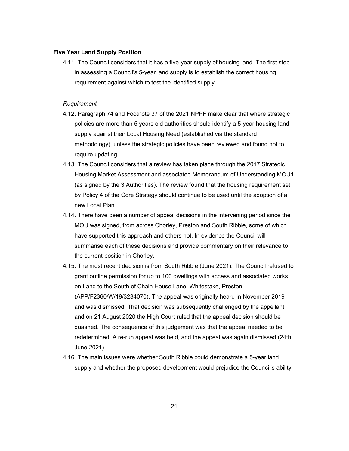#### Five Year Land Supply Position

4.11. The Council considers that it has a five-year supply of housing land. The first step in assessing a Council's 5-year land supply is to establish the correct housing requirement against which to test the identified supply.

#### Requirement

- 4.12. Paragraph 74 and Footnote 37 of the 2021 NPPF make clear that where strategic policies are more than 5 years old authorities should identify a 5-year housing land supply against their Local Housing Need (established via the standard methodology), unless the strategic policies have been reviewed and found not to require updating.
- 4.13. The Council considers that a review has taken place through the 2017 Strategic Housing Market Assessment and associated Memorandum of Understanding MOU1 (as signed by the 3 Authorities). The review found that the housing requirement set by Policy 4 of the Core Strategy should continue to be used until the adoption of a new Local Plan.
- 4.14. There have been a number of appeal decisions in the intervening period since the MOU was signed, from across Chorley, Preston and South Ribble, some of which have supported this approach and others not. In evidence the Council will summarise each of these decisions and provide commentary on their relevance to the current position in Chorley.
- 4.15. The most recent decision is from South Ribble (June 2021). The Council refused to grant outline permission for up to 100 dwellings with access and associated works on Land to the South of Chain House Lane, Whitestake, Preston (APP/F2360/W/19/3234070). The appeal was originally heard in November 2019 and was dismissed. That decision was subsequently challenged by the appellant and on 21 August 2020 the High Court ruled that the appeal decision should be quashed. The consequence of this judgement was that the appeal needed to be redetermined. A re-run appeal was held, and the appeal was again dismissed (24th June 2021).
- 4.16. The main issues were whether South Ribble could demonstrate a 5-year land supply and whether the proposed development would prejudice the Council's ability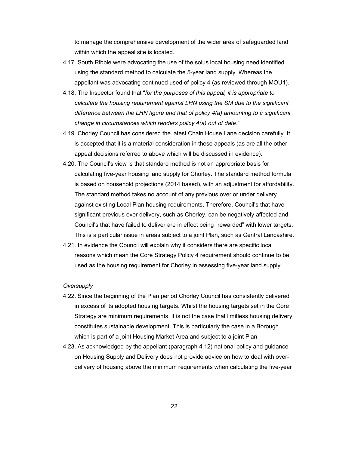to manage the comprehensive development of the wider area of safeguarded land within which the appeal site is located.

- 4.17. South Ribble were advocating the use of the solus local housing need identified using the standard method to calculate the 5-year land supply. Whereas the appellant was advocating continued used of policy 4 (as reviewed through MOU1).
- 4.18. The Inspector found that "for the purposes of this appeal, it is appropriate to calculate the housing requirement against LHN using the SM due to the significant difference between the LHN figure and that of policy 4(a) amounting to a significant change in circumstances which renders policy 4(a) out of date."
- 4.19. Chorley Council has considered the latest Chain House Lane decision carefully. It is accepted that it is a material consideration in these appeals (as are all the other appeal decisions referred to above which will be discussed in evidence).
- 4.20. The Council's view is that standard method is not an appropriate basis for calculating five-year housing land supply for Chorley. The standard method formula is based on household projections (2014 based), with an adjustment for affordability. The standard method takes no account of any previous over or under delivery against existing Local Plan housing requirements. Therefore, Council's that have significant previous over delivery, such as Chorley, can be negatively affected and Council's that have failed to deliver are in effect being "rewarded" with lower targets. This is a particular issue in areas subject to a joint Plan, such as Central Lancashire.
- 4.21. In evidence the Council will explain why it considers there are specific local reasons which mean the Core Strategy Policy 4 requirement should continue to be used as the housing requirement for Chorley in assessing five-year land supply.

#### **Oversupply**

- 4.22. Since the beginning of the Plan period Chorley Council has consistently delivered in excess of its adopted housing targets. Whilst the housing targets set in the Core Strategy are minimum requirements, it is not the case that limitless housing delivery constitutes sustainable development. This is particularly the case in a Borough which is part of a joint Housing Market Area and subject to a joint Plan
- 4.23. As acknowledged by the appellant (paragraph 4.12) national policy and guidance on Housing Supply and Delivery does not provide advice on how to deal with overdelivery of housing above the minimum requirements when calculating the five-year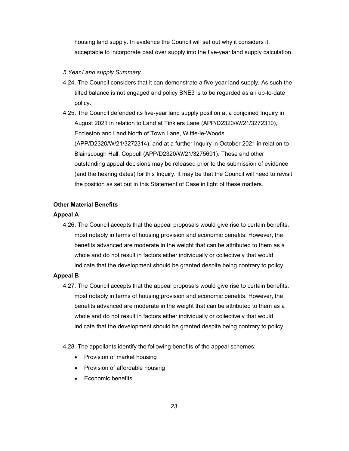housing land supply. In evidence the Council will set out why it considers it acceptable to incorporate past over supply into the five-year land supply calculation.

#### 5 Year Land supply Summary

- 4.24. The Council considers that it can demonstrate a five-year land supply. As such the tilted balance is not engaged and policy BNE3 is to be regarded as an up-to-date policy.
- 4.25. The Council defended its five-year land supply position at a conjoined Inquiry in August 2021 in relation to Land at Tinklers Lane (APP/D2320/W/21/3272310), Eccleston and Land North of Town Lane, Wittle-le-Woods (APP/D2320/W/21/3272314), and at a further Inquiry in October 2021 in relation to Blainscough Hall, Coppull (APP/D2320/W/21/3275691). These and other outstanding appeal decisions may be released prior to the submission of evidence (and the hearing dates) for this Inquiry. It may be that the Council will need to revisit the position as set out in this Statement of Case in light of these matters.

## Other Material Benefits

#### Appeal A

4.26. The Council accepts that the appeal proposals would give rise to certain benefits, most notably in terms of housing provision and economic benefits. However, the benefits advanced are moderate in the weight that can be attributed to them as a whole and do not result in factors either individually or collectively that would indicate that the development should be granted despite being contrary to policy.

### Appeal B

4.27. The Council accepts that the appeal proposals would give rise to certain benefits, most notably in terms of housing provision and economic benefits. However, the benefits advanced are moderate in the weight that can be attributed to them as a whole and do not result in factors either individually or collectively that would indicate that the development should be granted despite being contrary to policy.

#### 4.28. The appellants identify the following benefits of the appeal schemes:

- Provision of market housing
- Provision of affordable housing
- Economic benefits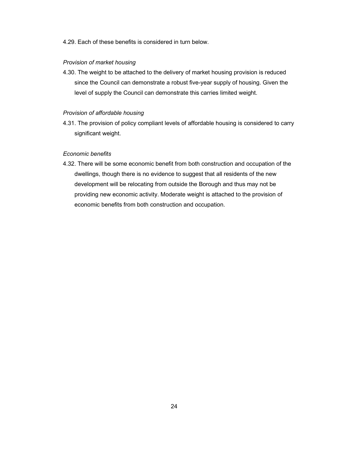# 4.29. Each of these benefits is considered in turn below.

### Provision of market housing

4.30. The weight to be attached to the delivery of market housing provision is reduced since the Council can demonstrate a robust five-year supply of housing. Given the level of supply the Council can demonstrate this carries limited weight.

# Provision of affordable housing

4.31. The provision of policy compliant levels of affordable housing is considered to carry significant weight.

### Economic benefits

4.32. There will be some economic benefit from both construction and occupation of the dwellings, though there is no evidence to suggest that all residents of the new development will be relocating from outside the Borough and thus may not be providing new economic activity. Moderate weight is attached to the provision of economic benefits from both construction and occupation.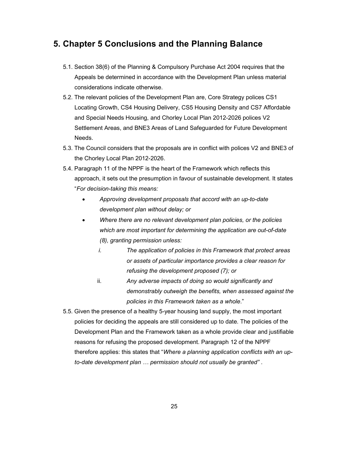# 5. Chapter 5 Conclusions and the Planning Balance

- 5.1. Section 38(6) of the Planning & Compulsory Purchase Act 2004 requires that the Appeals be determined in accordance with the Development Plan unless material considerations indicate otherwise.
- 5.2. The relevant policies of the Development Plan are, Core Strategy polices CS1 Locating Growth, CS4 Housing Delivery, CS5 Housing Density and CS7 Affordable and Special Needs Housing, and Chorley Local Plan 2012-2026 polices V2 Settlement Areas, and BNE3 Areas of Land Safeguarded for Future Development Needs.
- 5.3. The Council considers that the proposals are in conflict with polices V2 and BNE3 of the Chorley Local Plan 2012-2026.
- 5.4. Paragraph 11 of the NPPF is the heart of the Framework which reflects this approach, it sets out the presumption in favour of sustainable development. It states "For decision-taking this means:
	- Approving development proposals that accord with an up-to-date development plan without delay; or
	- Where there are no relevant development plan policies, or the policies which are most important for determining the application are out-of-date (8), granting permission unless:
		- i. The application of policies in this Framework that protect areas or assets of particular importance provides a clear reason for refusing the development proposed (7); or
		- ii. Any adverse impacts of doing so would significantly and demonstrably outweigh the benefits, when assessed against the policies in this Framework taken as a whole."
- 5.5. Given the presence of a healthy 5-year housing land supply, the most important policies for deciding the appeals are still considered up to date. The policies of the Development Plan and the Framework taken as a whole provide clear and justifiable reasons for refusing the proposed development. Paragraph 12 of the NPPF therefore applies: this states that "Where a planning application conflicts with an upto-date development plan … permission should not usually be granted" .